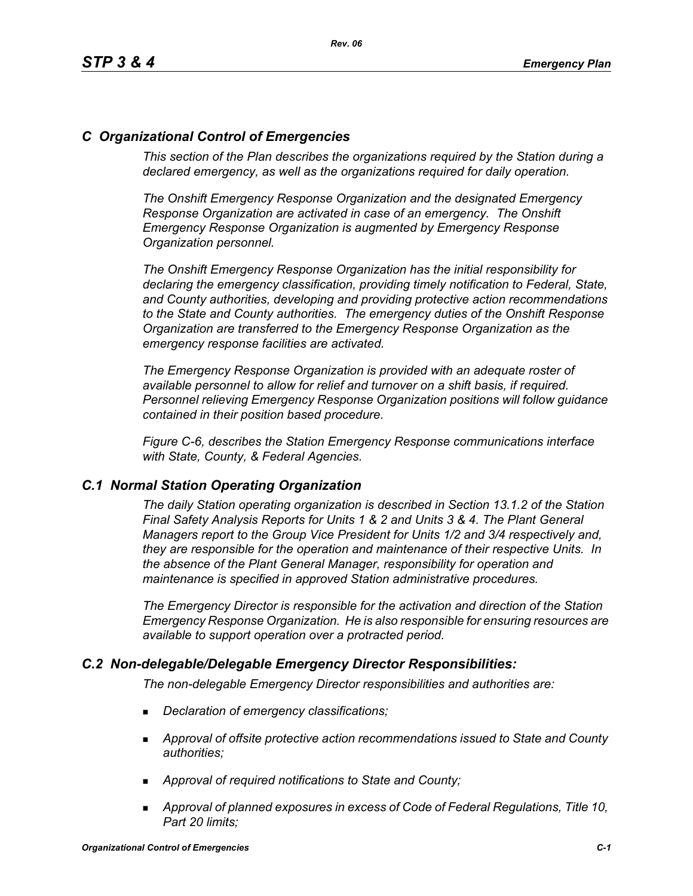### *C Organizational Control of Emergencies*

*This section of the Plan describes the organizations required by the Station during a declared emergency, as well as the organizations required for daily operation.*

*The Onshift Emergency Response Organization and the designated Emergency Response Organization are activated in case of an emergency. The Onshift Emergency Response Organization is augmented by Emergency Response Organization personnel.* 

*The Onshift Emergency Response Organization has the initial responsibility for declaring the emergency classification, providing timely notification to Federal, State, and County authorities, developing and providing protective action recommendations to the State and County authorities. The emergency duties of the Onshift Response Organization are transferred to the Emergency Response Organization as the emergency response facilities are activated.* 

*The Emergency Response Organization is provided with an adequate roster of available personnel to allow for relief and turnover on a shift basis, if required. Personnel relieving Emergency Response Organization positions will follow guidance contained in their position based procedure.*

*Figure C-6, describes the Station Emergency Response communications interface with State, County, & Federal Agencies.*

### *C.1 Normal Station Operating Organization*

*The daily Station operating organization is described in Section 13.1.2 of the Station Final Safety Analysis Reports for Units 1 & 2 and Units 3 & 4. The Plant General Managers report to the Group Vice President for Units 1/2 and 3/4 respectively and, they are responsible for the operation and maintenance of their respective Units. In the absence of the Plant General Manager, responsibility for operation and maintenance is specified in approved Station administrative procedures.*

*The Emergency Director is responsible for the activation and direction of the Station Emergency Response Organization. He is also responsible for ensuring resources are available to support operation over a protracted period.*

### *C.2 Non-delegable/Delegable Emergency Director Responsibilities:*

*The non-delegable Emergency Director responsibilities and authorities are:*

- *Declaration of emergency classifications;*
- *Approval of offsite protective action recommendations issued to State and County authorities;*
- *Approval of required notifications to State and County;*
- *Approval of planned exposures in excess of Code of Federal Regulations, Title 10, Part 20 limits;*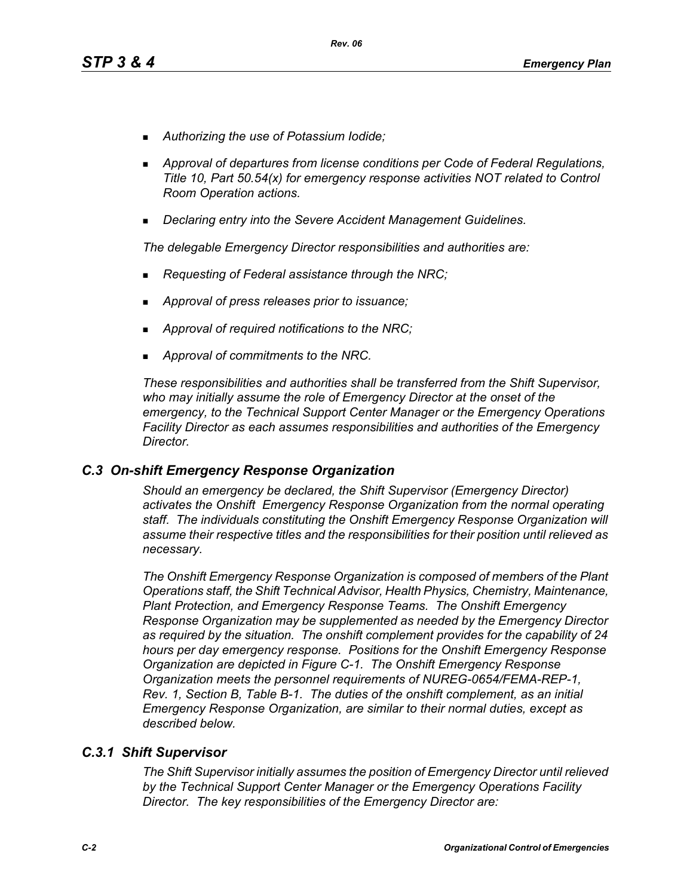- *Authorizing the use of Potassium Iodide;*
- *Approval of departures from license conditions per Code of Federal Regulations, Title 10, Part 50.54(x) for emergency response activities NOT related to Control Room Operation actions.*
- *Declaring entry into the Severe Accident Management Guidelines.*

*The delegable Emergency Director responsibilities and authorities are:*

- *Requesting of Federal assistance through the NRC;*
- *Approval of press releases prior to issuance;*
- *Approval of required notifications to the NRC;*
- *Approval of commitments to the NRC.*

*These responsibilities and authorities shall be transferred from the Shift Supervisor, who may initially assume the role of Emergency Director at the onset of the emergency, to the Technical Support Center Manager or the Emergency Operations Facility Director as each assumes responsibilities and authorities of the Emergency Director.*

### *C.3 On-shift Emergency Response Organization*

*Should an emergency be declared, the Shift Supervisor (Emergency Director) activates the Onshift Emergency Response Organization from the normal operating staff. The individuals constituting the Onshift Emergency Response Organization will assume their respective titles and the responsibilities for their position until relieved as necessary.*

*The Onshift Emergency Response Organization is composed of members of the Plant Operations staff, the Shift Technical Advisor, Health Physics, Chemistry, Maintenance, Plant Protection, and Emergency Response Teams. The Onshift Emergency Response Organization may be supplemented as needed by the Emergency Director as required by the situation. The onshift complement provides for the capability of 24 hours per day emergency response. Positions for the Onshift Emergency Response Organization are depicted in Figure C-1. The Onshift Emergency Response Organization meets the personnel requirements of NUREG-0654/FEMA-REP-1, Rev. 1, Section B, Table B-1. The duties of the onshift complement, as an initial Emergency Response Organization, are similar to their normal duties, except as described below.*

### *C.3.1 Shift Supervisor*

*The Shift Supervisor initially assumes the position of Emergency Director until relieved by the Technical Support Center Manager or the Emergency Operations Facility Director. The key responsibilities of the Emergency Director are:*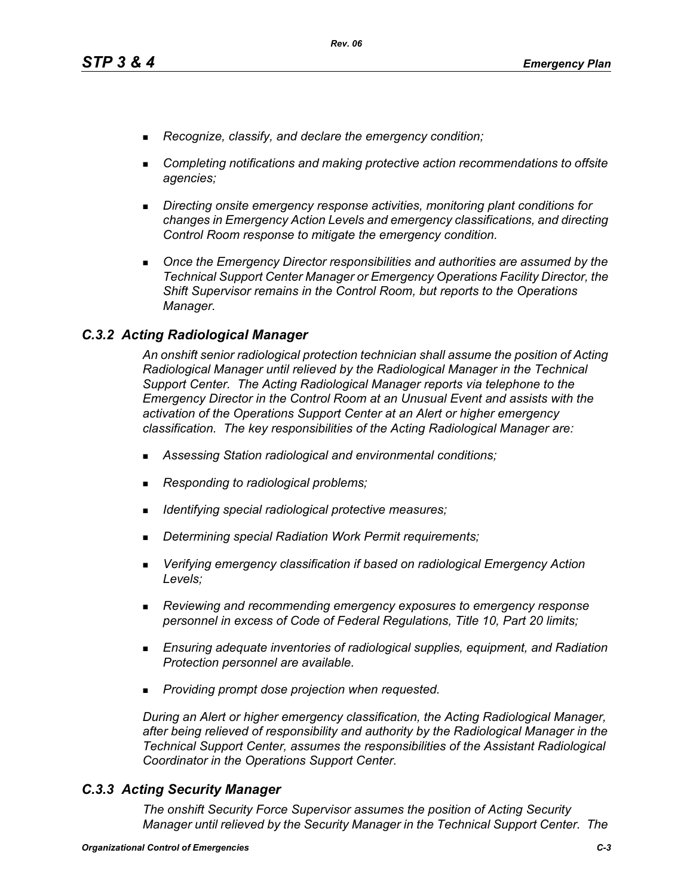- *Recognize, classify, and declare the emergency condition;*
- *Completing notifications and making protective action recommendations to offsite agencies;*
- *Directing onsite emergency response activities, monitoring plant conditions for changes in Emergency Action Levels and emergency classifications, and directing Control Room response to mitigate the emergency condition.*
- **Diangleh Emergency Director responsibilities and authorities are assumed by the** *Technical Support Center Manager or Emergency Operations Facility Director, the Shift Supervisor remains in the Control Room, but reports to the Operations Manager.*

### *C.3.2 Acting Radiological Manager*

*An onshift senior radiological protection technician shall assume the position of Acting Radiological Manager until relieved by the Radiological Manager in the Technical Support Center. The Acting Radiological Manager reports via telephone to the Emergency Director in the Control Room at an Unusual Event and assists with the activation of the Operations Support Center at an Alert or higher emergency classification. The key responsibilities of the Acting Radiological Manager are:*

- *Assessing Station radiological and environmental conditions;*
- *Responding to radiological problems;*
- *Identifying special radiological protective measures;*
- *Determining special Radiation Work Permit requirements;*
- *Verifying emergency classification if based on radiological Emergency Action Levels;*
- *Reviewing and recommending emergency exposures to emergency response personnel in excess of Code of Federal Regulations, Title 10, Part 20 limits;*
- *Ensuring adequate inventories of radiological supplies, equipment, and Radiation Protection personnel are available.*
- *Providing prompt dose projection when requested.*

*During an Alert or higher emergency classification, the Acting Radiological Manager, after being relieved of responsibility and authority by the Radiological Manager in the Technical Support Center, assumes the responsibilities of the Assistant Radiological Coordinator in the Operations Support Center.*

### *C.3.3 Acting Security Manager*

*The onshift Security Force Supervisor assumes the position of Acting Security Manager until relieved by the Security Manager in the Technical Support Center. The*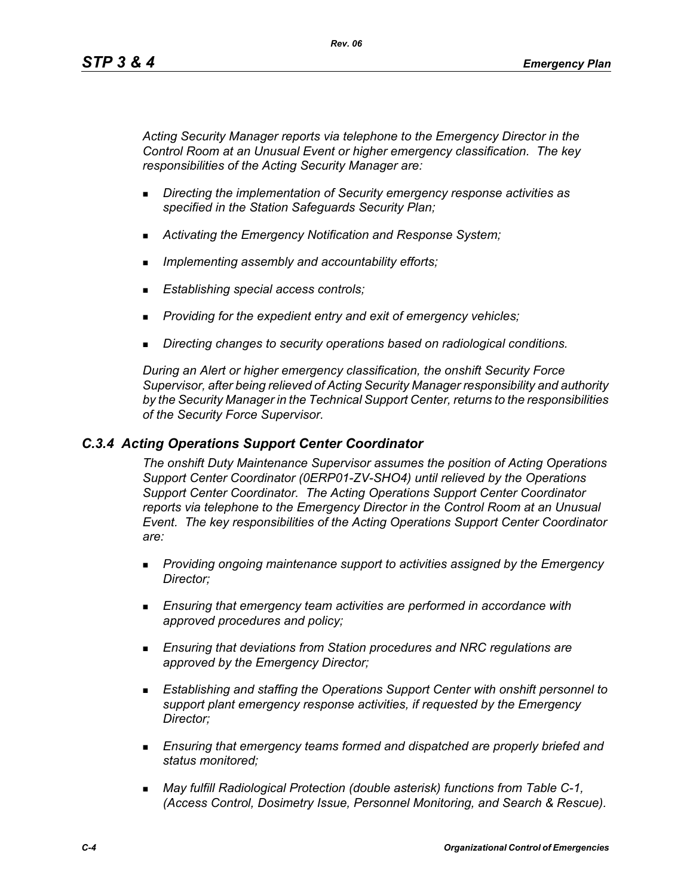*Acting Security Manager reports via telephone to the Emergency Director in the Control Room at an Unusual Event or higher emergency classification. The key responsibilities of the Acting Security Manager are:*

- *Directing the implementation of Security emergency response activities as specified in the Station Safeguards Security Plan;*
- *Activating the Emergency Notification and Response System;*
- *Implementing assembly and accountability efforts;*
- *Establishing special access controls;*
- *Providing for the expedient entry and exit of emergency vehicles;*
- *Directing changes to security operations based on radiological conditions.*

*During an Alert or higher emergency classification, the onshift Security Force Supervisor, after being relieved of Acting Security Manager responsibility and authority by the Security Manager in the Technical Support Center, returns to the responsibilities of the Security Force Supervisor.*

### *C.3.4 Acting Operations Support Center Coordinator*

*The onshift Duty Maintenance Supervisor assumes the position of Acting Operations Support Center Coordinator (0ERP01-ZV-SHO4) until relieved by the Operations Support Center Coordinator. The Acting Operations Support Center Coordinator reports via telephone to the Emergency Director in the Control Room at an Unusual Event. The key responsibilities of the Acting Operations Support Center Coordinator are:*

- *Providing ongoing maintenance support to activities assigned by the Emergency Director;*
- *Ensuring that emergency team activities are performed in accordance with approved procedures and policy;*
- *Ensuring that deviations from Station procedures and NRC regulations are approved by the Emergency Director;*
- *Establishing and staffing the Operations Support Center with onshift personnel to support plant emergency response activities, if requested by the Emergency Director;*
- *Ensuring that emergency teams formed and dispatched are properly briefed and status monitored;*
- *May fulfill Radiological Protection (double asterisk) functions from Table C-1, (Access Control, Dosimetry Issue, Personnel Monitoring, and Search & Rescue).*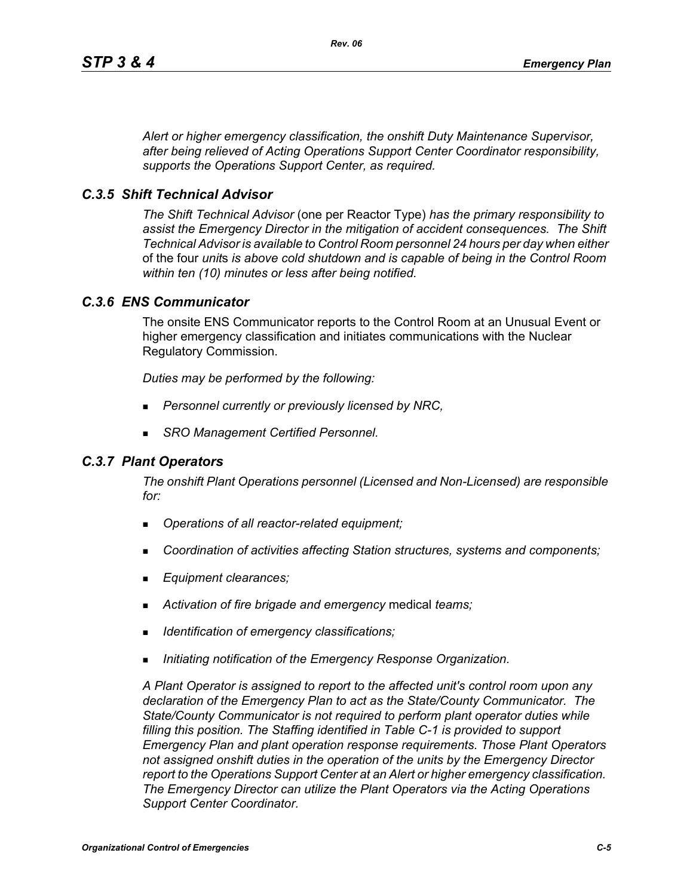*Alert or higher emergency classification, the onshift Duty Maintenance Supervisor, after being relieved of Acting Operations Support Center Coordinator responsibility, supports the Operations Support Center, as required.*

### *C.3.5 Shift Technical Advisor*

*The Shift Technical Advisor* (one per Reactor Type) *has the primary responsibility to assist the Emergency Director in the mitigation of accident consequences. The Shift Technical Advisor is available to Control Room personnel 24 hours per day when either*  of the four *unit*s *is above cold shutdown and is capable of being in the Control Room within ten (10) minutes or less after being notified.*

### *C.3.6 ENS Communicator*

The onsite ENS Communicator reports to the Control Room at an Unusual Event or higher emergency classification and initiates communications with the Nuclear Regulatory Commission.

*Duties may be performed by the following:*

- *Personnel currently or previously licensed by NRC,*
- *SRO Management Certified Personnel.*

### *C.3.7 Plant Operators*

*The onshift Plant Operations personnel (Licensed and Non-Licensed) are responsible for:*

- *Operations of all reactor-related equipment;*
- *Coordination of activities affecting Station structures, systems and components;*
- *Equipment clearances;*
- *Activation of fire brigade and emergency* medical *teams;*
- *Identification of emergency classifications;*
- *Initiating notification of the Emergency Response Organization.*

*A Plant Operator is assigned to report to the affected unit's control room upon any declaration of the Emergency Plan to act as the State/County Communicator. The State/County Communicator is not required to perform plant operator duties while filling this position. The Staffing identified in Table C-1 is provided to support Emergency Plan and plant operation response requirements. Those Plant Operators not assigned onshift duties in the operation of the units by the Emergency Director report to the Operations Support Center at an Alert or higher emergency classification. The Emergency Director can utilize the Plant Operators via the Acting Operations Support Center Coordinator.*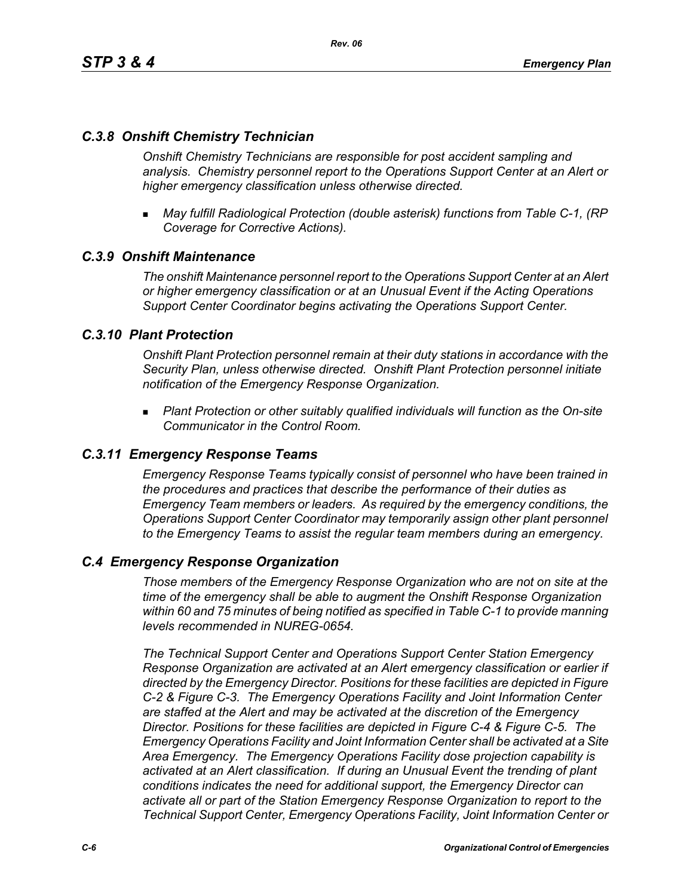### *C.3.8 Onshift Chemistry Technician*

*Onshift Chemistry Technicians are responsible for post accident sampling and analysis. Chemistry personnel report to the Operations Support Center at an Alert or higher emergency classification unless otherwise directed.*

 *May fulfill Radiological Protection (double asterisk) functions from Table C-1, (RP Coverage for Corrective Actions).*

### *C.3.9 Onshift Maintenance*

*The onshift Maintenance personnel report to the Operations Support Center at an Alert or higher emergency classification or at an Unusual Event if the Acting Operations Support Center Coordinator begins activating the Operations Support Center.*

### *C.3.10 Plant Protection*

*Onshift Plant Protection personnel remain at their duty stations in accordance with the Security Plan, unless otherwise directed. Onshift Plant Protection personnel initiate notification of the Emergency Response Organization.*

 *Plant Protection or other suitably qualified individuals will function as the On-site Communicator in the Control Room.*

### *C.3.11 Emergency Response Teams*

*Emergency Response Teams typically consist of personnel who have been trained in the procedures and practices that describe the performance of their duties as Emergency Team members or leaders. As required by the emergency conditions, the Operations Support Center Coordinator may temporarily assign other plant personnel to the Emergency Teams to assist the regular team members during an emergency.*

### *C.4 Emergency Response Organization*

*Those members of the Emergency Response Organization who are not on site at the time of the emergency shall be able to augment the Onshift Response Organization within 60 and 75 minutes of being notified as specified in Table C-1 to provide manning levels recommended in NUREG-0654.*

*The Technical Support Center and Operations Support Center Station Emergency Response Organization are activated at an Alert emergency classification or earlier if directed by the Emergency Director. Positions for these facilities are depicted in Figure C-2 & Figure C-3. The Emergency Operations Facility and Joint Information Center are staffed at the Alert and may be activated at the discretion of the Emergency Director. Positions for these facilities are depicted in Figure C-4 & Figure C-5. The Emergency Operations Facility and Joint Information Center shall be activated at a Site Area Emergency. The Emergency Operations Facility dose projection capability is activated at an Alert classification. If during an Unusual Event the trending of plant conditions indicates the need for additional support, the Emergency Director can activate all or part of the Station Emergency Response Organization to report to the Technical Support Center, Emergency Operations Facility, Joint Information Center or*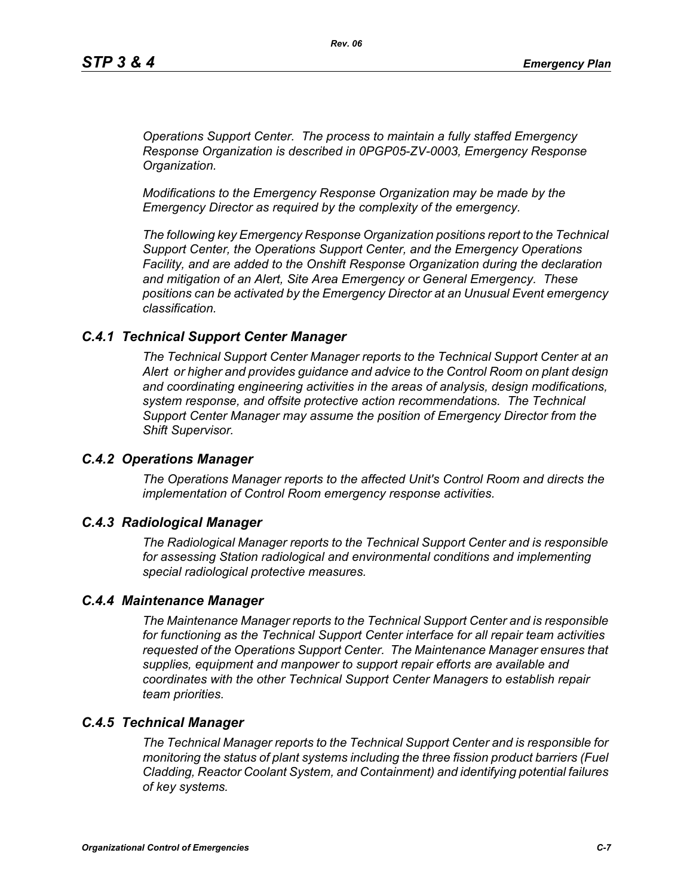*Operations Support Center. The process to maintain a fully staffed Emergency Response Organization is described in 0PGP05-ZV-0003, Emergency Response Organization.*

*Modifications to the Emergency Response Organization may be made by the Emergency Director as required by the complexity of the emergency.*

*The following key Emergency Response Organization positions report to the Technical Support Center, the Operations Support Center, and the Emergency Operations Facility, and are added to the Onshift Response Organization during the declaration and mitigation of an Alert, Site Area Emergency or General Emergency. These positions can be activated by the Emergency Director at an Unusual Event emergency classification.*

#### *C.4.1 Technical Support Center Manager*

*The Technical Support Center Manager reports to the Technical Support Center at an Alert or higher and provides guidance and advice to the Control Room on plant design and coordinating engineering activities in the areas of analysis, design modifications, system response, and offsite protective action recommendations. The Technical Support Center Manager may assume the position of Emergency Director from the Shift Supervisor.*

#### *C.4.2 Operations Manager*

*The Operations Manager reports to the affected Unit's Control Room and directs the implementation of Control Room emergency response activities.*

#### *C.4.3 Radiological Manager*

*The Radiological Manager reports to the Technical Support Center and is responsible for assessing Station radiological and environmental conditions and implementing special radiological protective measures.*

#### *C.4.4 Maintenance Manager*

*The Maintenance Manager reports to the Technical Support Center and is responsible for functioning as the Technical Support Center interface for all repair team activities requested of the Operations Support Center. The Maintenance Manager ensures that supplies, equipment and manpower to support repair efforts are available and coordinates with the other Technical Support Center Managers to establish repair team priorities.* 

### *C.4.5 Technical Manager*

*The Technical Manager reports to the Technical Support Center and is responsible for monitoring the status of plant systems including the three fission product barriers (Fuel Cladding, Reactor Coolant System, and Containment) and identifying potential failures of key systems.*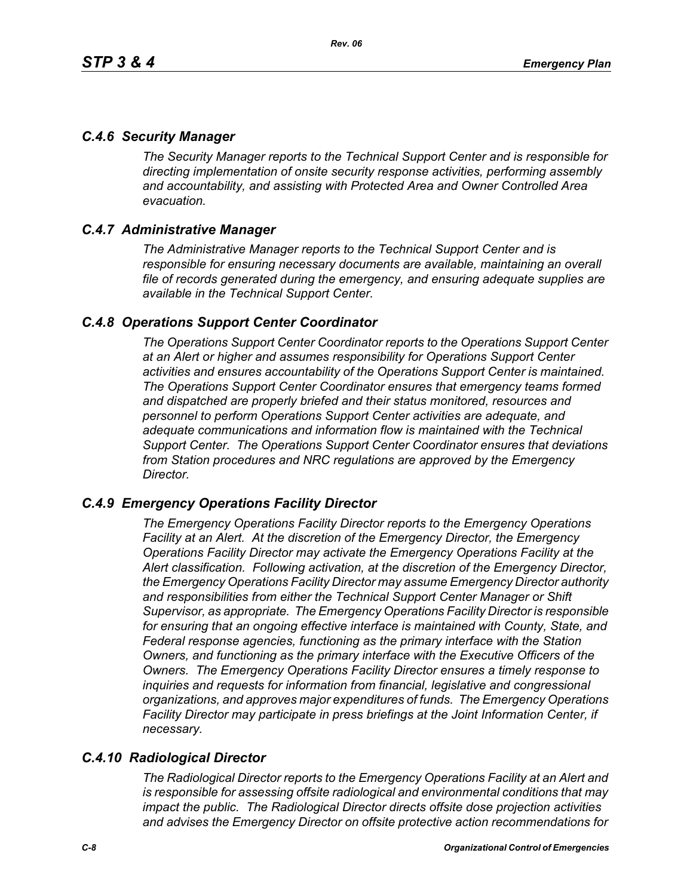### *C.4.6 Security Manager*

*The Security Manager reports to the Technical Support Center and is responsible for directing implementation of onsite security response activities, performing assembly and accountability, and assisting with Protected Area and Owner Controlled Area evacuation.* 

### *C.4.7 Administrative Manager*

*The Administrative Manager reports to the Technical Support Center and is responsible for ensuring necessary documents are available, maintaining an overall file of records generated during the emergency, and ensuring adequate supplies are available in the Technical Support Center.* 

### *C.4.8 Operations Support Center Coordinator*

*The Operations Support Center Coordinator reports to the Operations Support Center at an Alert or higher and assumes responsibility for Operations Support Center activities and ensures accountability of the Operations Support Center is maintained. The Operations Support Center Coordinator ensures that emergency teams formed and dispatched are properly briefed and their status monitored, resources and personnel to perform Operations Support Center activities are adequate, and adequate communications and information flow is maintained with the Technical Support Center. The Operations Support Center Coordinator ensures that deviations from Station procedures and NRC regulations are approved by the Emergency Director.* 

### *C.4.9 Emergency Operations Facility Director*

*The Emergency Operations Facility Director reports to the Emergency Operations Facility at an Alert. At the discretion of the Emergency Director, the Emergency Operations Facility Director may activate the Emergency Operations Facility at the Alert classification. Following activation, at the discretion of the Emergency Director, the Emergency Operations Facility Director may assume Emergency Director authority and responsibilities from either the Technical Support Center Manager or Shift Supervisor, as appropriate. The Emergency Operations Facility Director is responsible*  for ensuring that an ongoing effective interface is maintained with County, State, and *Federal response agencies, functioning as the primary interface with the Station Owners, and functioning as the primary interface with the Executive Officers of the Owners. The Emergency Operations Facility Director ensures a timely response to inquiries and requests for information from financial, legislative and congressional organizations, and approves major expenditures of funds. The Emergency Operations Facility Director may participate in press briefings at the Joint Information Center, if necessary.* 

# *C.4.10 Radiological Director*

*The Radiological Director reports to the Emergency Operations Facility at an Alert and is responsible for assessing offsite radiological and environmental conditions that may impact the public. The Radiological Director directs offsite dose projection activities and advises the Emergency Director on offsite protective action recommendations for*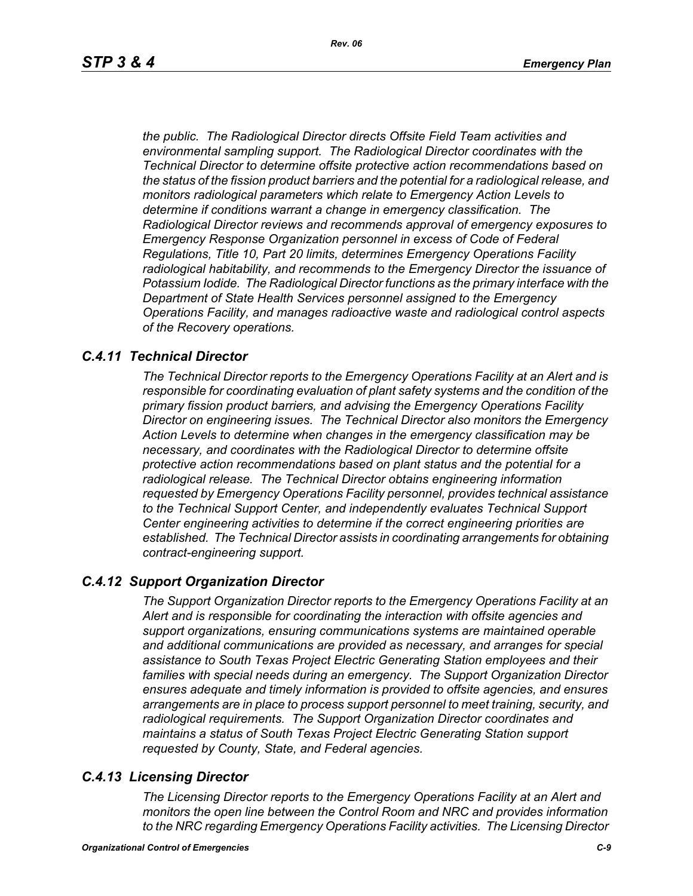*the public. The Radiological Director directs Offsite Field Team activities and environmental sampling support. The Radiological Director coordinates with the Technical Director to determine offsite protective action recommendations based on the status of the fission product barriers and the potential for a radiological release, and monitors radiological parameters which relate to Emergency Action Levels to determine if conditions warrant a change in emergency classification. The Radiological Director reviews and recommends approval of emergency exposures to Emergency Response Organization personnel in excess of Code of Federal Regulations, Title 10, Part 20 limits, determines Emergency Operations Facility radiological habitability, and recommends to the Emergency Director the issuance of Potassium Iodide. The Radiological Director functions as the primary interface with the Department of State Health Services personnel assigned to the Emergency Operations Facility, and manages radioactive waste and radiological control aspects of the Recovery operations.* 

### *C.4.11 Technical Director*

*The Technical Director reports to the Emergency Operations Facility at an Alert and is responsible for coordinating evaluation of plant safety systems and the condition of the primary fission product barriers, and advising the Emergency Operations Facility Director on engineering issues. The Technical Director also monitors the Emergency Action Levels to determine when changes in the emergency classification may be necessary, and coordinates with the Radiological Director to determine offsite protective action recommendations based on plant status and the potential for a radiological release. The Technical Director obtains engineering information requested by Emergency Operations Facility personnel, provides technical assistance to the Technical Support Center, and independently evaluates Technical Support Center engineering activities to determine if the correct engineering priorities are established. The Technical Director assists in coordinating arrangements for obtaining contract-engineering support.* 

### *C.4.12 Support Organization Director*

*The Support Organization Director reports to the Emergency Operations Facility at an Alert and is responsible for coordinating the interaction with offsite agencies and support organizations, ensuring communications systems are maintained operable and additional communications are provided as necessary, and arranges for special assistance to South Texas Project Electric Generating Station employees and their families with special needs during an emergency. The Support Organization Director ensures adequate and timely information is provided to offsite agencies, and ensures arrangements are in place to process support personnel to meet training, security, and radiological requirements. The Support Organization Director coordinates and maintains a status of South Texas Project Electric Generating Station support requested by County, State, and Federal agencies.*

### *C.4.13 Licensing Director*

*The Licensing Director reports to the Emergency Operations Facility at an Alert and monitors the open line between the Control Room and NRC and provides information to the NRC regarding Emergency Operations Facility activities. The Licensing Director*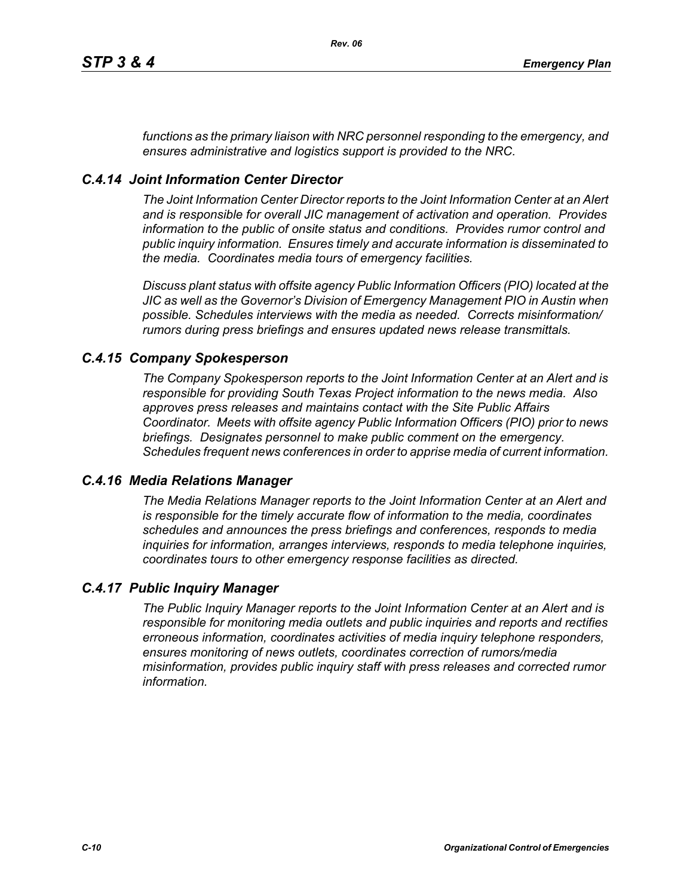*functions as the primary liaison with NRC personnel responding to the emergency, and ensures administrative and logistics support is provided to the NRC.*

### *C.4.14 Joint Information Center Director*

*The Joint Information Center Director reports to the Joint Information Center at an Alert and is responsible for overall JIC management of activation and operation. Provides information to the public of onsite status and conditions. Provides rumor control and public inquiry information. Ensures timely and accurate information is disseminated to the media. Coordinates media tours of emergency facilities.* 

*Discuss plant status with offsite agency Public Information Officers (PIO) located at the JIC as well as the Governor's Division of Emergency Management PIO in Austin when possible. Schedules interviews with the media as needed. Corrects misinformation/ rumors during press briefings and ensures updated news release transmittals.*

### *C.4.15 Company Spokesperson*

*The Company Spokesperson reports to the Joint Information Center at an Alert and is responsible for providing South Texas Project information to the news media. Also approves press releases and maintains contact with the Site Public Affairs Coordinator. Meets with offsite agency Public Information Officers (PIO) prior to news briefings. Designates personnel to make public comment on the emergency. Schedules frequent news conferences in order to apprise media of current information.* 

### *C.4.16 Media Relations Manager*

*The Media Relations Manager reports to the Joint Information Center at an Alert and is responsible for the timely accurate flow of information to the media, coordinates schedules and announces the press briefings and conferences, responds to media inquiries for information, arranges interviews, responds to media telephone inquiries, coordinates tours to other emergency response facilities as directed.*

### *C.4.17 Public Inquiry Manager*

*The Public Inquiry Manager reports to the Joint Information Center at an Alert and is responsible for monitoring media outlets and public inquiries and reports and rectifies erroneous information, coordinates activities of media inquiry telephone responders, ensures monitoring of news outlets, coordinates correction of rumors/media misinformation, provides public inquiry staff with press releases and corrected rumor information.*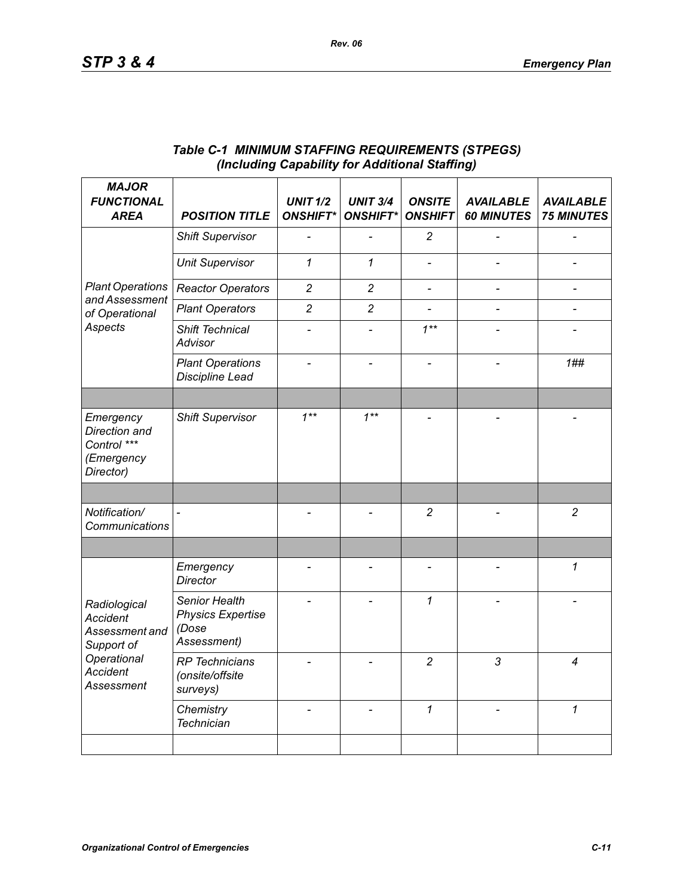| <b>MAJOR</b><br><b>FUNCTIONAL</b><br><b>AREA</b>                                                                       | <b>POSITION TITLE</b>                                             | <b>UNIT 1/2</b><br><b>ONSHIFT*</b> | <b>UNIT 3/4</b><br><b>ONSHIFT*</b> | <b>ONSITE</b><br><b>ONSHIFT</b> | <b>AVAILABLE</b><br><b>60 MINUTES</b> | <b>AVAILABLE</b><br><b>75 MINUTES</b> |
|------------------------------------------------------------------------------------------------------------------------|-------------------------------------------------------------------|------------------------------------|------------------------------------|---------------------------------|---------------------------------------|---------------------------------------|
| <b>Plant Operations</b><br>and Assessment<br>of Operational<br>Aspects                                                 | <b>Shift Supervisor</b>                                           |                                    |                                    | $\overline{c}$                  |                                       |                                       |
|                                                                                                                        | <b>Unit Supervisor</b>                                            | $\mathcal I$                       | $\mathbf{1}$                       |                                 |                                       |                                       |
|                                                                                                                        | <b>Reactor Operators</b>                                          | $\overline{c}$                     | $\overline{c}$                     | $\frac{1}{2}$                   |                                       | $\qquad \qquad \blacksquare$          |
|                                                                                                                        | <b>Plant Operators</b>                                            | $\overline{2}$                     | $\overline{2}$                     | $\overline{\phantom{a}}$        |                                       |                                       |
|                                                                                                                        | Shift Technical<br><b>Advisor</b>                                 |                                    |                                    | $1***$                          |                                       |                                       |
|                                                                                                                        | <b>Plant Operations</b><br>Discipline Lead                        |                                    |                                    |                                 |                                       | 1##                                   |
|                                                                                                                        |                                                                   |                                    |                                    |                                 |                                       |                                       |
| Emergency<br>Direction and<br>Control ***<br>(Emergency<br>Director)                                                   | <b>Shift Supervisor</b>                                           | $1***$                             | $1***$                             |                                 |                                       |                                       |
|                                                                                                                        |                                                                   |                                    |                                    |                                 |                                       |                                       |
| Notification/<br>Communications                                                                                        |                                                                   |                                    |                                    | $\overline{c}$                  |                                       | $\overline{c}$                        |
|                                                                                                                        |                                                                   |                                    |                                    |                                 |                                       |                                       |
| Radiological<br><b>Accident</b><br>Assessment and<br>Support of<br>Operational<br><b>Accident</b><br><b>Assessment</b> | Emergency<br><b>Director</b>                                      |                                    | $\overline{\phantom{0}}$           | $\overline{\phantom{a}}$        |                                       | 1                                     |
|                                                                                                                        | Senior Health<br><b>Physics Expertise</b><br>(Dose<br>Assessment) |                                    |                                    | 1                               |                                       |                                       |
|                                                                                                                        | <b>RP</b> Technicians<br>(onsite/offsite<br>surveys)              |                                    |                                    | $\overline{c}$                  | 3                                     | 4                                     |
|                                                                                                                        | Chemistry<br><b>Technician</b>                                    |                                    |                                    | $\mathbf{1}$                    |                                       | $\mathbf{1}$                          |
|                                                                                                                        |                                                                   |                                    |                                    |                                 |                                       |                                       |

### *Table C-1 MINIMUM STAFFING REQUIREMENTS (STPEGS) (Including Capability for Additional Staffing)*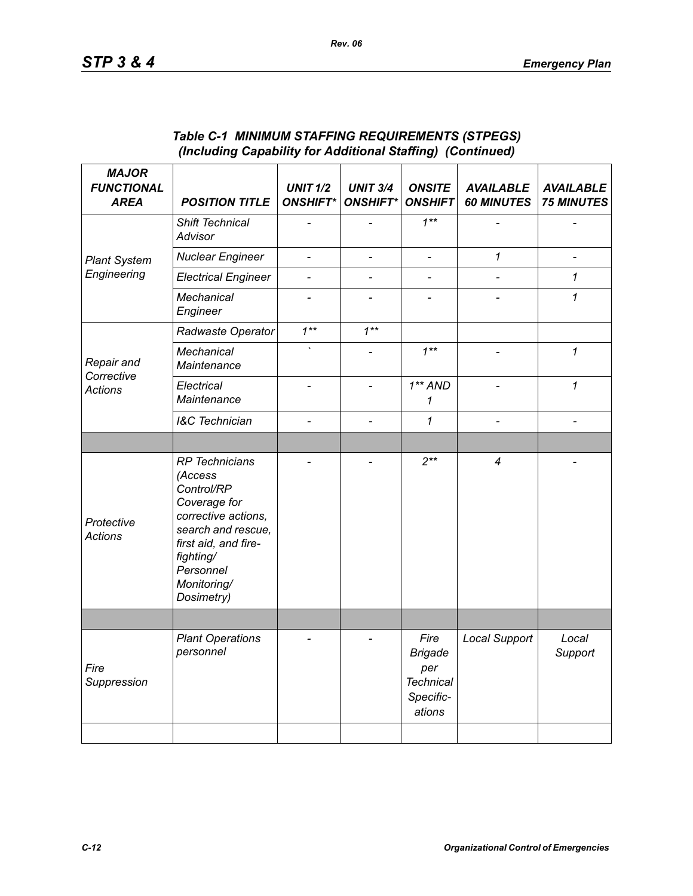| <b>MAJOR</b><br><b>FUNCTIONAL</b><br><b>AREA</b> | <b>POSITION TITLE</b>                                                                                                                                                                      | <b>UNIT 1/2</b><br><b>ONSHIFT*</b> | <b>UNIT 3/4</b><br><b>ONSHIFT*</b> | <b>ONSITE</b><br><b>ONSHIFT</b>                                          | <b>AVAILABLE</b><br><b>60 MINUTES</b> | <b>AVAILABLE</b><br><b>75 MINUTES</b> |
|--------------------------------------------------|--------------------------------------------------------------------------------------------------------------------------------------------------------------------------------------------|------------------------------------|------------------------------------|--------------------------------------------------------------------------|---------------------------------------|---------------------------------------|
|                                                  | Shift Technical<br>Advisor                                                                                                                                                                 |                                    |                                    | $1***$                                                                   |                                       |                                       |
| <b>Plant System</b>                              | <b>Nuclear Engineer</b>                                                                                                                                                                    | $\overline{\phantom{a}}$           | $\qquad \qquad \blacksquare$       | $\overline{\phantom{0}}$                                                 | 1                                     | $\overline{a}$                        |
| Engineering                                      | <b>Electrical Engineer</b>                                                                                                                                                                 | $\overline{a}$                     | $\overline{a}$                     | $\overline{a}$                                                           |                                       | 1                                     |
|                                                  | Mechanical<br>Engineer                                                                                                                                                                     |                                    |                                    |                                                                          |                                       | 1                                     |
| Repair and<br>Corrective<br><b>Actions</b>       | Radwaste Operator                                                                                                                                                                          | $1***$                             | $1***$                             |                                                                          |                                       |                                       |
|                                                  | Mechanical<br>Maintenance                                                                                                                                                                  |                                    |                                    | $1***$                                                                   |                                       | 1                                     |
|                                                  | Electrical<br>Maintenance                                                                                                                                                                  |                                    | $\overline{a}$                     | $1**AND$<br>1                                                            |                                       | $\mathcal I$                          |
|                                                  | <b>I&amp;C</b> Technician                                                                                                                                                                  | $\overline{a}$                     | $\overline{a}$                     | 1                                                                        | $\overline{\phantom{0}}$              |                                       |
|                                                  |                                                                                                                                                                                            |                                    |                                    |                                                                          |                                       |                                       |
| Protective<br><b>Actions</b>                     | <b>RP</b> Technicians<br>(Access<br>Control/RP<br>Coverage for<br>corrective actions,<br>search and rescue,<br>first aid, and fire-<br>fighting/<br>Personnel<br>Monitoring/<br>Dosimetry) |                                    |                                    | $2***$                                                                   | $\overline{4}$                        |                                       |
|                                                  |                                                                                                                                                                                            |                                    |                                    |                                                                          |                                       |                                       |
| Fire<br>Suppression                              | <b>Plant Operations</b><br>personnel                                                                                                                                                       |                                    |                                    | Fire<br><b>Brigade</b><br>per<br><b>Technical</b><br>Specific-<br>ations | <b>Local Support</b>                  | Local<br>Support                      |
|                                                  |                                                                                                                                                                                            |                                    |                                    |                                                                          |                                       |                                       |

### *Table C-1 MINIMUM STAFFING REQUIREMENTS (STPEGS) (Including Capability for Additional Staffing) (Continued)*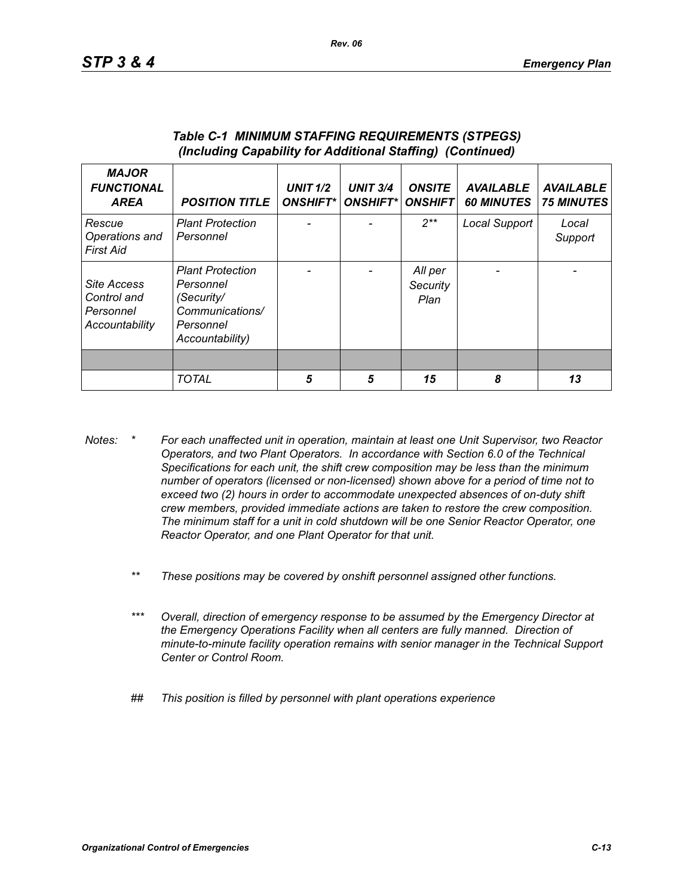| <b>MAJOR</b><br><b>FUNCTIONAL</b><br><b>AREA</b>                 | <b>POSITION TITLE</b>                                                                                 | <b>UNIT 1/2</b><br><b>ONSHIFT*</b> | <b>UNIT 3/4</b><br><b>ONSHIFT*I</b> | <b>ONSITE</b><br><b>ONSHIFT</b> | <b>AVAILABLE</b><br><b>60 MINUTES</b> | <b>AVAILABLE</b><br><b>75 MINUTES</b> |
|------------------------------------------------------------------|-------------------------------------------------------------------------------------------------------|------------------------------------|-------------------------------------|---------------------------------|---------------------------------------|---------------------------------------|
| Rescue<br>Operations and<br>First Aid                            | <b>Plant Protection</b><br>Personnel                                                                  |                                    |                                     | $2**$                           | Local Support                         | Local<br>Support                      |
| <b>Site Access</b><br>Control and<br>Personnel<br>Accountability | <b>Plant Protection</b><br>Personnel<br>(Security/<br>Communications/<br>Personnel<br>Accountability) |                                    |                                     | All per<br>Security<br>Plan     |                                       |                                       |
|                                                                  |                                                                                                       |                                    |                                     |                                 |                                       |                                       |
|                                                                  | <b>TOTAL</b>                                                                                          | 5                                  | 5                                   | 15                              | 8                                     | 13                                    |

#### *Table C-1 MINIMUM STAFFING REQUIREMENTS (STPEGS) (Including Capability for Additional Staffing) (Continued)*

- *Notes: \* For each unaffected unit in operation, maintain at least one Unit Supervisor, two Reactor Operators, and two Plant Operators. In accordance with Section 6.0 of the Technical Specifications for each unit, the shift crew composition may be less than the minimum number of operators (licensed or non-licensed) shown above for a period of time not to exceed two (2) hours in order to accommodate unexpected absences of on-duty shift crew members, provided immediate actions are taken to restore the crew composition. The minimum staff for a unit in cold shutdown will be one Senior Reactor Operator, one Reactor Operator, and one Plant Operator for that unit.*
	- *\*\* These positions may be covered by onshift personnel assigned other functions.*
	- *\*\*\* Overall, direction of emergency response to be assumed by the Emergency Director at the Emergency Operations Facility when all centers are fully manned. Direction of minute-to-minute facility operation remains with senior manager in the Technical Support Center or Control Room.*
	- *## This position is filled by personnel with plant operations experience*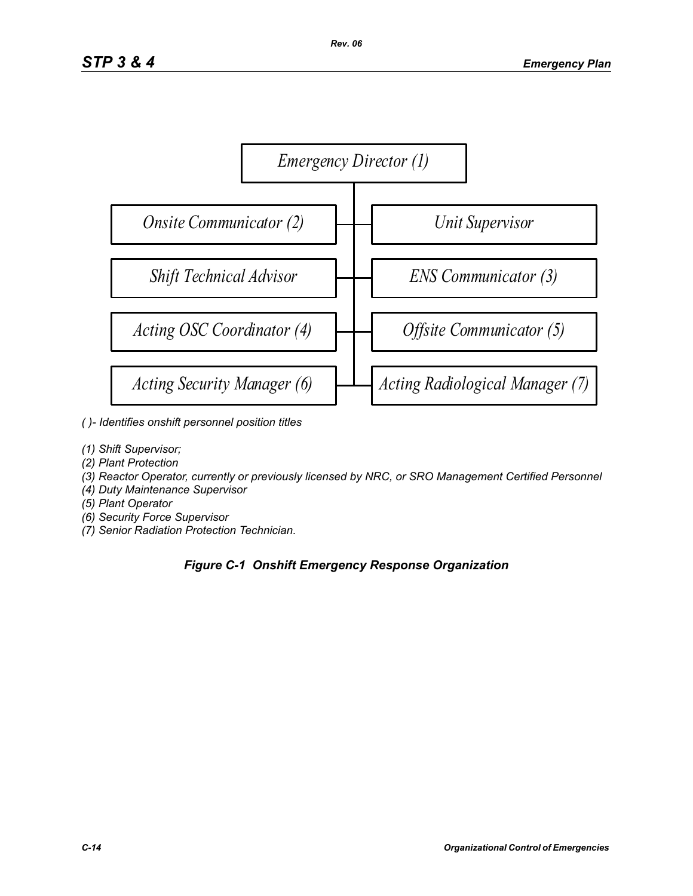

- *( )- Identifies onshift personnel position titles*
- *(1) Shift Supervisor;*
- *(2) Plant Protection*
- *(3) Reactor Operator, currently or previously licensed by NRC, or SRO Management Certified Personnel*
- *(4) Duty Maintenance Supervisor*
- *(5) Plant Operator*
- *(6) Security Force Supervisor*
- *(7) Senior Radiation Protection Technician.*

# *Figure C-1 Onshift Emergency Response Organization*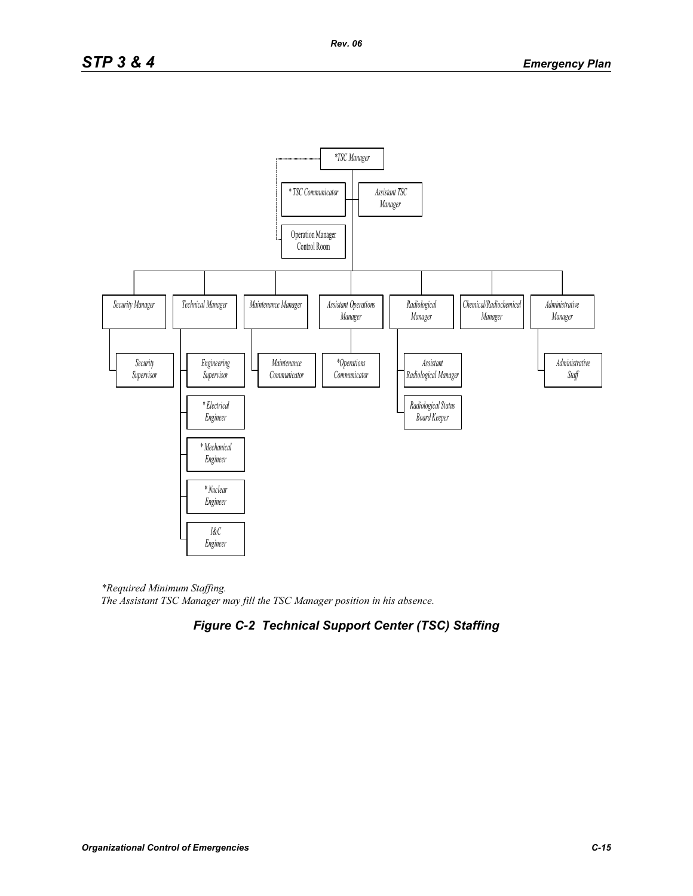

*\*Required Minimum Staffing. The Assistant TSC Manager may fill the TSC Manager position in his absence.* 

# *Figure C-2 Technical Support Center (TSC) Staffing*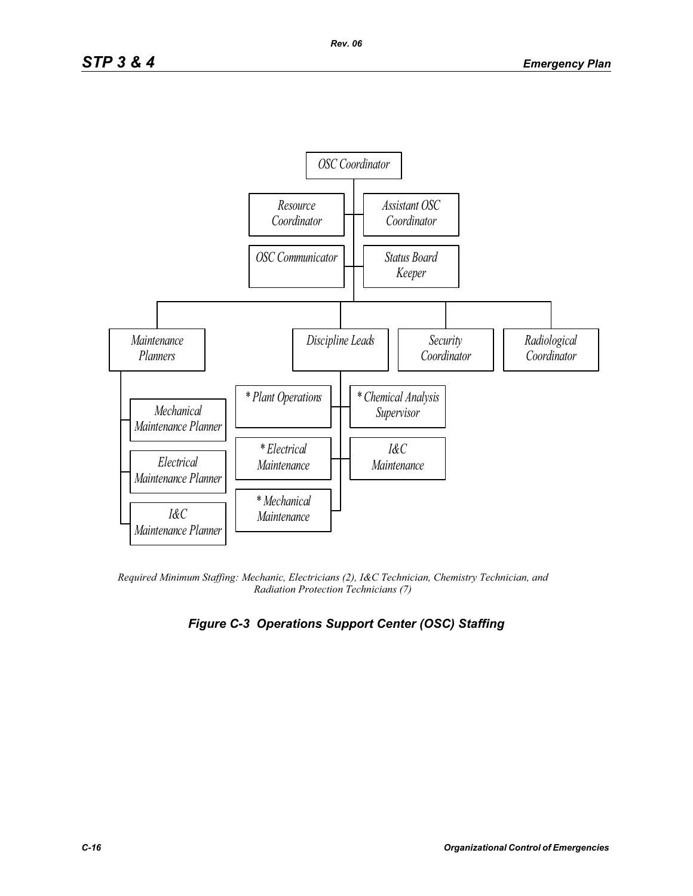

*Required Minimum Staffing: Mechanic, Electricians (2), I&C Technician, Chemistry Technician, and Radiation Protection Technicians (7)* 

# *Figure C-3 Operations Support Center (OSC) Staffing*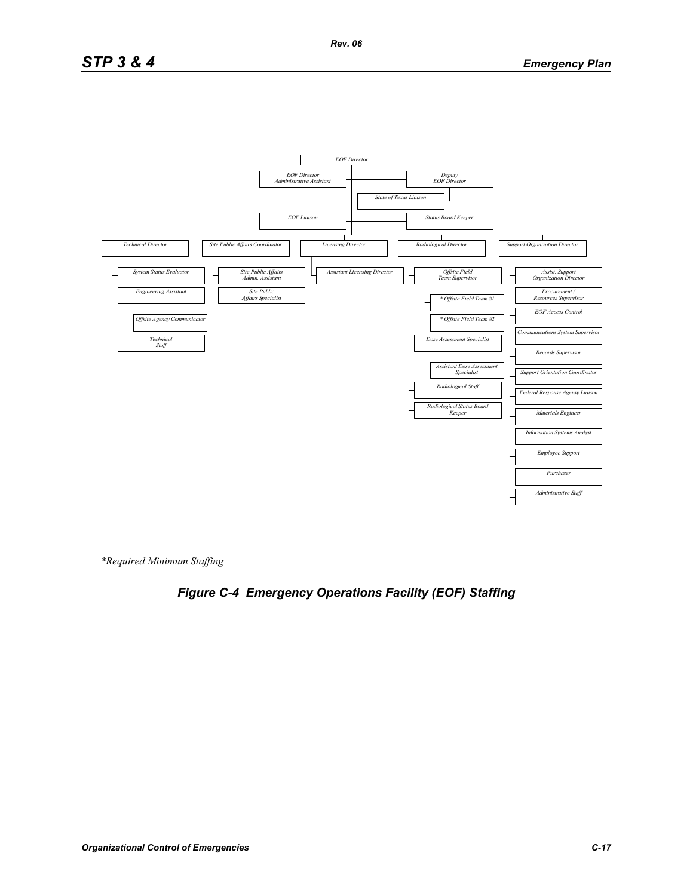# *STP 3 & 4 Emergency Plan*



*\*Required Minimum Staffing*

# *Figure C-4 Emergency Operations Facility (EOF) Staffing*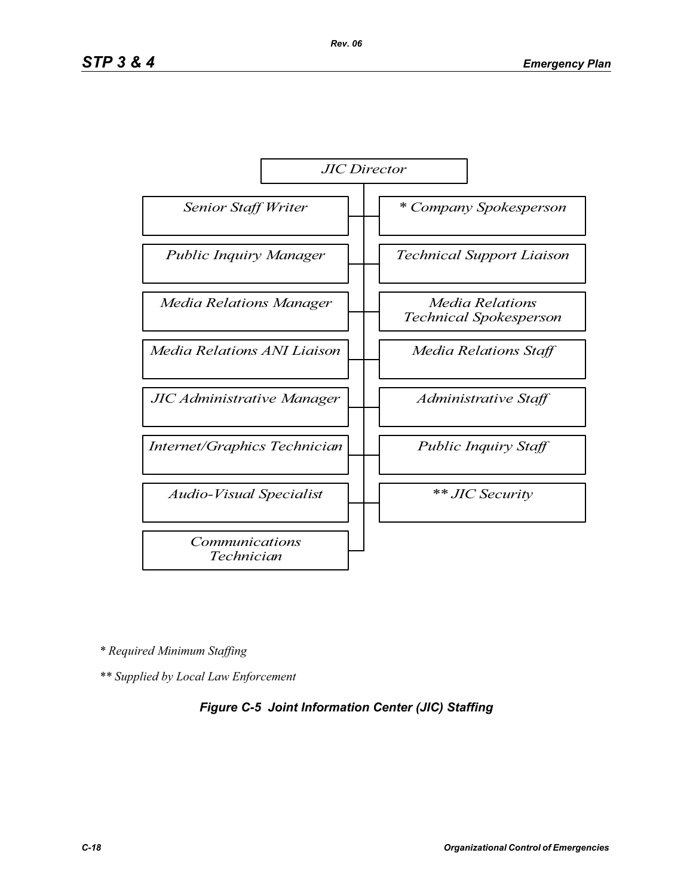

*\* Required Minimum Staffing*

*\*\* Supplied by Local Law Enforcement* 

### *Figure C-5 Joint Information Center (JIC) Staffing*